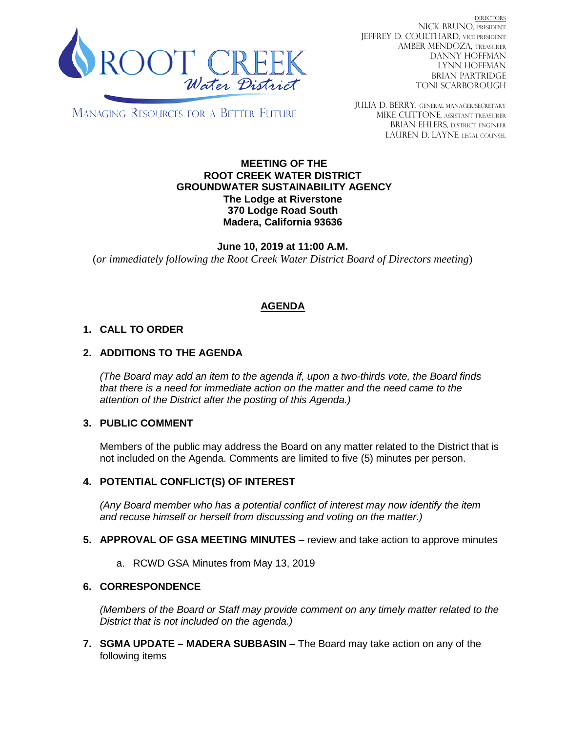

DIRECTORS NICK BRUNO, PRESIDENT JEFFREY D. COULTHARD, VICE PRESIDENT AMBER MENDOZA, TREASURER DANNY HOFFMAN LYNN HOFFMAN BRIAN PARTRIDGE TONI SCARBOROUGH

MANAGING RESOURCES FOR A BETTER FUTURE

JULIA D. BERRY, GENERAL MANAGER/secretary MIKE CUTTONE, Assistant treasurer BRIAN EHLERS, DISTRICT ENGINEER LAUREN D. LAYNE, LEGAL COUNSEL

#### **MEETING OF THE ROOT CREEK WATER DISTRICT GROUNDWATER SUSTAINABILITY AGENCY The Lodge at Riverstone 370 Lodge Road South Madera, California 93636**

**June 10, 2019 at 11:00 A.M.** (*or immediately following the Root Creek Water District Board of Directors meeting*)

# **AGENDA**

## **1. CALL TO ORDER**

### **2. ADDITIONS TO THE AGENDA**

*(The Board may add an item to the agenda if, upon a two-thirds vote, the Board finds that there is a need for immediate action on the matter and the need came to the attention of the District after the posting of this Agenda.)*

#### **3. PUBLIC COMMENT**

Members of the public may address the Board on any matter related to the District that is not included on the Agenda. Comments are limited to five (5) minutes per person.

#### **4. POTENTIAL CONFLICT(S) OF INTEREST**

*(Any Board member who has a potential conflict of interest may now identify the item and recuse himself or herself from discussing and voting on the matter.)*

- **5. APPROVAL OF GSA MEETING MINUTES** review and take action to approve minutes
	- a. RCWD GSA Minutes from May 13, 2019

#### **6. CORRESPONDENCE**

*(Members of the Board or Staff may provide comment on any timely matter related to the District that is not included on the agenda.)*

**7. SGMA UPDATE – MADERA SUBBASIN** – The Board may take action on any of the following items